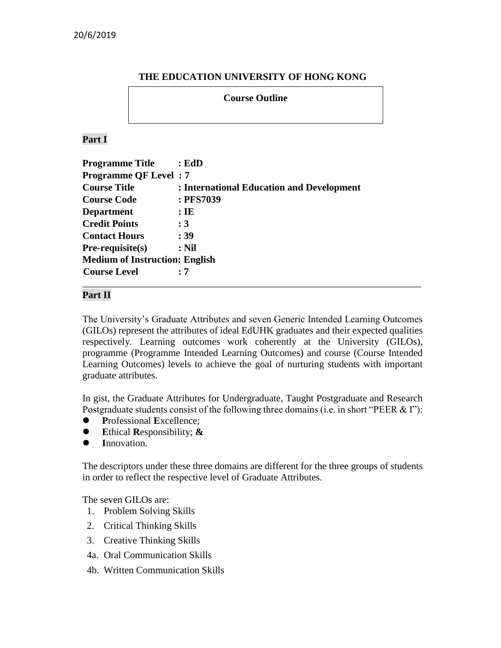## **THE EDUCATION UNIVERSITY OF HONG KONG**

### **Course Outline**

## **Part I**

| <b>Programme Title</b>                | : EdD                                     |  |  |  |
|---------------------------------------|-------------------------------------------|--|--|--|
| <b>Programme QF Level: 7</b>          |                                           |  |  |  |
| <b>Course Title</b>                   | : International Education and Development |  |  |  |
| <b>Course Code</b>                    | : PFS7039                                 |  |  |  |
| <b>Department</b>                     | $:$ IE                                    |  |  |  |
| <b>Credit Points</b>                  | :3                                        |  |  |  |
| <b>Contact Hours</b>                  | : 39                                      |  |  |  |
| $Pre-requisite(s)$                    | $:$ Nil                                   |  |  |  |
| <b>Medium of Instruction: English</b> |                                           |  |  |  |
| <b>Course Level</b>                   | : 7                                       |  |  |  |
|                                       |                                           |  |  |  |

### **Part II**

The University's Graduate Attributes and seven Generic Intended Learning Outcomes (GILOs) represent the attributes of ideal EdUHK graduates and their expected qualities respectively. Learning outcomes work coherently at the University (GILOs), programme (Programme Intended Learning Outcomes) and course (Course Intended Learning Outcomes) levels to achieve the goal of nurturing students with important graduate attributes.

In gist, the Graduate Attributes for Undergraduate, Taught Postgraduate and Research Postgraduate students consist of the following three domains (i.e. in short "PEER & I"):

- **P**rofessional **E**xcellence;
- **E**thical **R**esponsibility; **&**
- **I**nnovation.

The descriptors under these three domains are different for the three groups of students in order to reflect the respective level of Graduate Attributes.

The seven GILOs are:

- 1. Problem Solving Skills
- 2. Critical Thinking Skills
- 3. Creative Thinking Skills
- 4a. Oral Communication Skills
- 4b. Written Communication Skills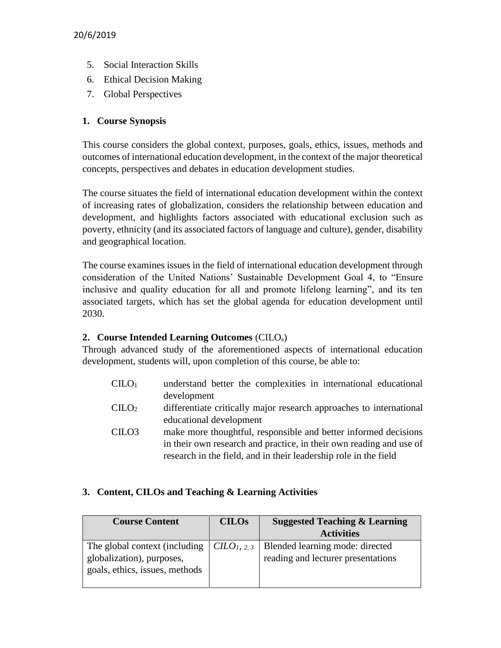- 5. Social Interaction Skills
- 6. Ethical Decision Making
- 7. Global Perspectives

# **1. Course Synopsis**

This course considers the global context, purposes, goals, ethics, issues, methods and outcomes of international education development, in the context of the major theoretical concepts, perspectives and debates in education development studies.

The course situates the field of international education development within the context of increasing rates of globalization, considers the relationship between education and development, and highlights factors associated with educational exclusion such as poverty, ethnicity (and its associated factors of language and culture), gender, disability and geographical location.

The course examines issues in the field of international education development through consideration of the United Nations' Sustainable Development Goal 4, to "Ensure inclusive and quality education for all and promote lifelong learning", and its ten associated targets, which has set the global agenda for education development until 2030.

## **2. Course Intended Learning Outcomes** (CILOs)

Through advanced study of the aforementioned aspects of international education development, students will, upon completion of this course, be able to:

- $CIIO<sub>1</sub>$  understand better the complexities in international educational development
- CILO<sup>2</sup> differentiate critically major research approaches to international educational development
- CILO3 make more thoughtful, responsible and better informed decisions in their own research and practice, in their own reading and use of research in the field, and in their leadership role in the field

## **3. Content, CILOs and Teaching & Learning Activities**

| <b>Course Content</b>                                          | <b>CILOS</b> | <b>Suggested Teaching &amp; Learning</b> |
|----------------------------------------------------------------|--------------|------------------------------------------|
|                                                                |              | <b>Activities</b>                        |
| The global context (including $\vert$ CILO <sub>1</sub> , 2, 3 |              | Blended learning mode: directed          |
| globalization), purposes,                                      |              | reading and lecturer presentations       |
| goals, ethics, issues, methods                                 |              |                                          |
|                                                                |              |                                          |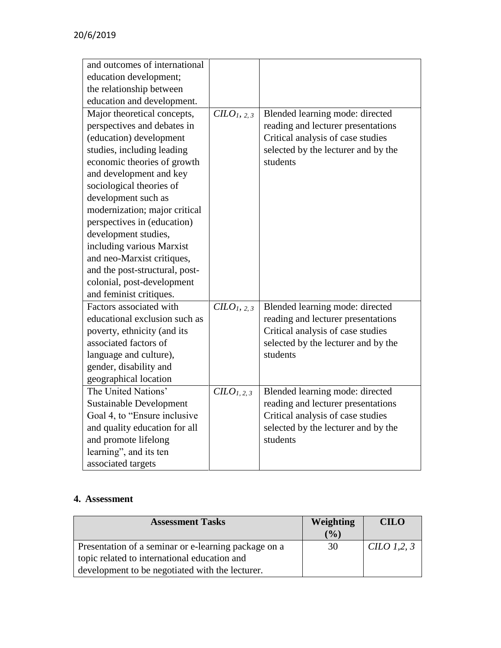| and outcomes of international  |                                   |                                     |
|--------------------------------|-----------------------------------|-------------------------------------|
| education development;         |                                   |                                     |
| the relationship between       |                                   |                                     |
| education and development.     |                                   |                                     |
| Major theoretical concepts,    | CLO <sub>1</sub> , 2, 3           | Blended learning mode: directed     |
| perspectives and debates in    |                                   | reading and lecturer presentations  |
| (education) development        |                                   | Critical analysis of case studies   |
| studies, including leading     |                                   | selected by the lecturer and by the |
| economic theories of growth    |                                   | students                            |
| and development and key        |                                   |                                     |
| sociological theories of       |                                   |                                     |
| development such as            |                                   |                                     |
| modernization; major critical  |                                   |                                     |
| perspectives in (education)    |                                   |                                     |
| development studies,           |                                   |                                     |
| including various Marxist      |                                   |                                     |
| and neo-Marxist critiques,     |                                   |                                     |
| and the post-structural, post- |                                   |                                     |
| colonial, post-development     |                                   |                                     |
| and feminist critiques.        |                                   |                                     |
| Factors associated with        | CILO <sub>1</sub> , 2, 3          | Blended learning mode: directed     |
| educational exclusion such as  |                                   | reading and lecturer presentations  |
| poverty, ethnicity (and its    |                                   | Critical analysis of case studies   |
| associated factors of          |                                   | selected by the lecturer and by the |
| language and culture),         |                                   | students                            |
| gender, disability and         |                                   |                                     |
| geographical location          |                                   |                                     |
| The United Nations'            | C <sub>L</sub> O <sub>L,2,3</sub> | Blended learning mode: directed     |
| <b>Sustainable Development</b> |                                   | reading and lecturer presentations  |
| Goal 4, to "Ensure inclusive"  |                                   | Critical analysis of case studies   |
| and quality education for all  |                                   | selected by the lecturer and by the |
| and promote lifelong           |                                   | students                            |
| learning", and its ten         |                                   |                                     |
| associated targets             |                                   |                                     |

# **4. Assessment**

| <b>Assessment Tasks</b>                              | <b>Weighting</b> | <b>CILO</b>       |
|------------------------------------------------------|------------------|-------------------|
|                                                      | $($ %)           |                   |
| Presentation of a seminar or e-learning package on a | 30               | CILO 1,2, $\beta$ |
| topic related to international education and         |                  |                   |
| development to be negotiated with the lecturer.      |                  |                   |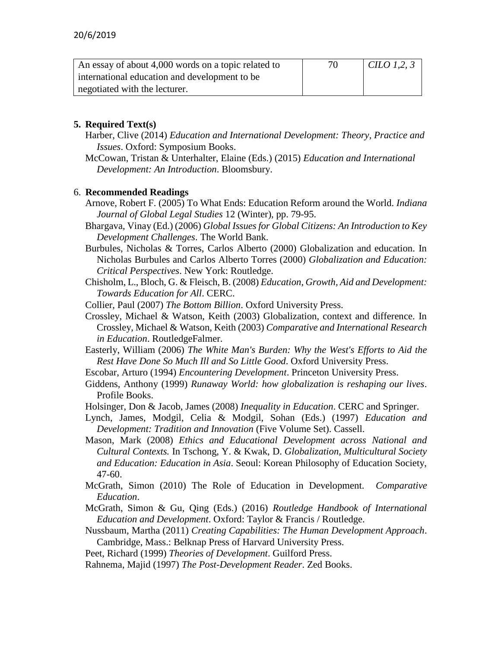| An essay of about 4,000 words on a topic related to | 70 | CILO 1,2, $\beta$ |
|-----------------------------------------------------|----|-------------------|
| international education and development to be       |    |                   |
| negotiated with the lecturer.                       |    |                   |

## **5. Required Text(s)**

- Harber, Clive (2014) *Education and International Development: Theory, Practice and Issues*. Oxford: Symposium Books.
- McCowan, Tristan & Unterhalter, Elaine (Eds.) (2015) *Education and International Development: An Introduction*. Bloomsbury.

### 6. **Recommended Readings**

- Arnove, Robert F. (2005) To What Ends: Education Reform around the World. *Indiana Journal of Global Legal Studies* 12 (Winter), pp. 79-95.
- Bhargava, Vinay (Ed.) (2006) *Global Issues for Global Citizens: An Introduction to Key Development Challenges*. The World Bank.
- Burbules, Nicholas & Torres, Carlos Alberto (2000) Globalization and education. In Nicholas Burbules and Carlos Alberto Torres (2000) *Globalization and Education: Critical Perspectives*. New York: Routledge.
- Chisholm, L., Bloch, G. & Fleisch, B. (2008) *Education, Growth, Aid and Development: Towards Education for All*. CERC.
- Collier, Paul (2007) *The Bottom Billion*. Oxford University Press.

Crossley, Michael & Watson, Keith (2003) Globalization, context and difference. In Crossley, Michael & Watson, Keith (2003) *Comparative and International Research in Education*. RoutledgeFalmer.

- Easterly, William (2006) *The White Man's Burden: Why the West's Efforts to Aid the Rest Have Done So Much Ill and So Little Good*. Oxford University Press.
- Escobar, Arturo (1994) *Encountering Development*. Princeton University Press.
- Giddens, Anthony (1999) *Runaway World: how globalization is reshaping our lives*. Profile Books.
- Holsinger, Don & Jacob, James (2008) *Inequality in Education*. CERC and Springer.
- Lynch, James, Modgil, Celia & Modgil, Sohan (Eds.) (1997) *Education and Development: Tradition and Innovation* (Five Volume Set). Cassell.
- Mason, Mark (2008) *Ethics and Educational Development across National and Cultural Contexts.* In Tschong, Y. & Kwak, D. *Globalization, Multicultural Society and Education: Education in Asia*. Seoul: Korean Philosophy of Education Society, 47-60.
- McGrath, Simon (2010) The Role of Education in Development. *Comparative Education*.
- McGrath, Simon & Gu, Qing (Eds.) (2016) *Routledge Handbook of International Education and Development*. Oxford: Taylor & Francis / Routledge.
- Nussbaum, Martha (2011) *Creating Capabilities: The Human Development Approach*. Cambridge, Mass.: Belknap Press of Harvard University Press.
- Peet, Richard (1999) *Theories of Development*. Guilford Press.

Rahnema, Majid (1997) *The Post-Development Reader*. Zed Books.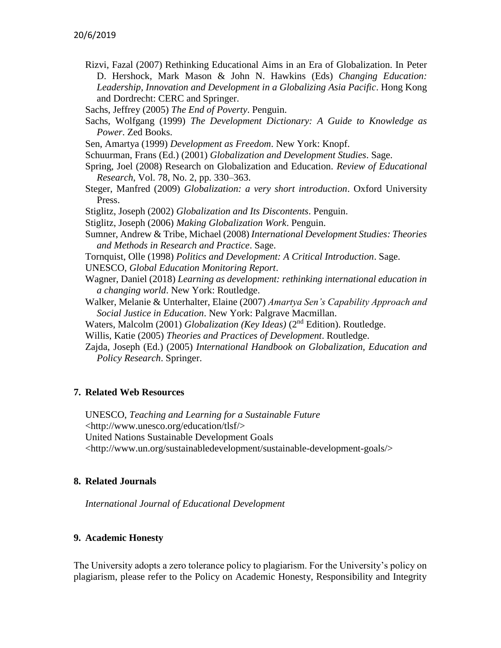- Rizvi, Fazal (2007) Rethinking Educational Aims in an Era of Globalization. In Peter D. Hershock, Mark Mason & John N. Hawkins (Eds) *Changing Education: Leadership, Innovation and Development in a Globalizing Asia Pacific*. Hong Kong and Dordrecht: CERC and Springer.
- Sachs, Jeffrey (2005) *The End of Poverty*. Penguin.
- Sachs, Wolfgang (1999) *The Development Dictionary: A Guide to Knowledge as Power*. Zed Books.
- Sen, Amartya (1999) *Development as Freedom*. New York: Knopf.
- Schuurman, Frans (Ed.) (2001) *Globalization and Development Studies*. Sage.
- Spring, Joel (2008) Research on Globalization and Education. *Review of Educational Research*, Vol. 78, No. 2, pp. 330–363.
- Steger, Manfred (2009) *Globalization: a very short introduction*. Oxford University Press.
- Stiglitz, Joseph (2002) *Globalization and Its Discontents*. Penguin.
- Stiglitz, Joseph (2006) *Making Globalization Work*. Penguin.
- Sumner, Andrew & Tribe, Michael (2008) *International Development Studies: Theories and Methods in Research and Practice*. Sage.
- Tornquist, Olle (1998) *Politics and Development: A Critical Introduction*. Sage.
- UNESCO, *Global Education Monitoring Report*.
- Wagner, Daniel (2018) *Learning as development: rethinking international education in a changing world*. New York: Routledge.
- Walker, Melanie & Unterhalter, Elaine (2007) *Amartya Sen's Capability Approach and Social Justice in Education*. New York: Palgrave Macmillan.
- Waters, Malcolm (2001) *Globalization (Key Ideas)* (2nd Edition). Routledge.
- Willis, Katie (2005) *Theories and Practices of Development*. Routledge.
- Zajda, Joseph (Ed.) (2005) *International Handbook on Globalization, Education and Policy Research*. Springer.

### **7. Related Web Resources**

UNESCO, *Teaching and Learning for a Sustainable Future* <http://www.unesco.org/education/tlsf/> United Nations Sustainable Development Goals <http://www.un.org/sustainabledevelopment/sustainable-development-goals/>

### **8. Related Journals**

*International Journal of Educational Development*

#### **9. Academic Honesty**

The University adopts a zero tolerance policy to plagiarism. For the University's policy on plagiarism, please refer to the Policy on Academic Honesty, Responsibility and Integrity